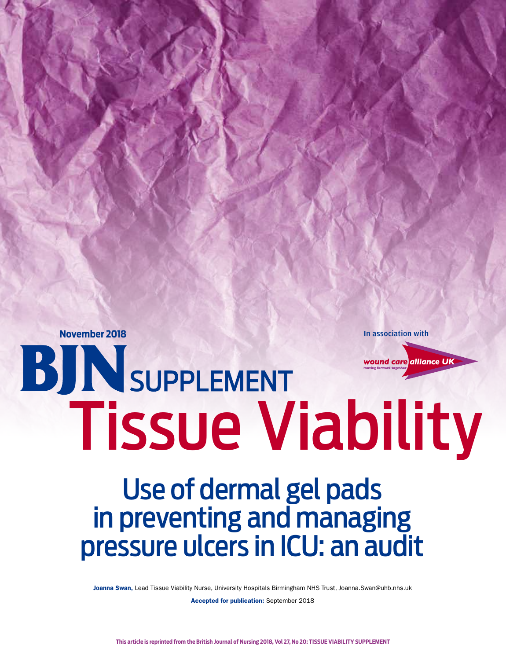**November 2018** In association with

# **BIN** SUPPLEMENT wound care <mark>alliance Uk</mark>

# Use of dermal gel pads in preventing and managing pressure ulcers in ICU: an audit

Joanna Swan, Lead Tissue Viability Nurse, University Hospitals Birmingham NHS Trust, Joanna.Swan@uhb.nhs.uk

Accepted for publication: September 2018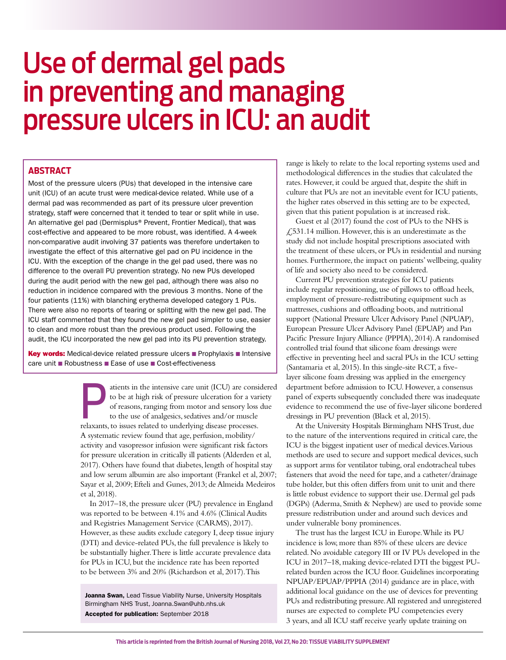# Use of dermal gel pads in preventing and managing pressure ulcers in ICU: an audit

## **ABSTRACT**

Most of the pressure ulcers (PUs) that developed in the intensive care unit (ICU) of an acute trust were medical-device related. While use of a dermal pad was recommended as part of its pressure ulcer prevention strategy, staff were concerned that it tended to tear or split while in use. An alternative gel pad (Dermisplus® Prevent, Frontier Medical), that was cost-effective and appeared to be more robust, was identified. A 4-week non-comparative audit involving 37 patients was therefore undertaken to investigate the effect of this alternative gel pad on PU incidence in the ICU. With the exception of the change in the gel pad used, there was no difference to the overall PU prevention strategy. No new PUs developed during the audit period with the new gel pad, although there was also no reduction in incidence compared with the previous 3 months. None of the four patients (11%) with blanching erythema developed category 1 PUs. There were also no reports of tearing or splitting with the new gel pad. The ICU staff commented that they found the new gel pad simpler to use, easier to clean and more robust than the previous product used. Following the audit, the ICU incorporated the new gel pad into its PU prevention strategy.

Key words: Medical-device related pressure ulcers ■ Prophylaxis ■ Intensive care unit ■ Robustness ■ Ease of use ■ Cost-effectiveness

> atients in the intensive care unit (ICU) are considered<br>to be at high risk of pressure ulceration for a variety<br>of reasons, ranging from motor and sensory loss due<br>to the use of analgesics, sedatives and/or muscle<br>relaxant to be at high risk of pressure ulceration for a variety of reasons, ranging from motor and sensory loss due to the use of analgesics, sedatives and/or muscle relaxants, to issues related to underlying disease processes. A systematic review found that age, perfusion, mobility/ activity and vasopressor infusion were significant risk factors for pressure ulceration in critically ill patients (Alderden et al, 2017). Others have found that diabetes, length of hospital stay and low serum albumin are also important (Frankel et al, 2007; Sayar et al, 2009; Efteli and Gunes, 2013; de Almeida Medeiros et al, 2018).

In 2017–18, the pressure ulcer (PU) prevalence in England was reported to be between 4.1% and 4.6% (Clinical Audits and Registries Management Service (CARMS), 2017). However, as these audits exclude category I, deep tissue injury (DTI) and device-related PUs, the full prevalence is likely to be substantially higher. There is little accurate prevalence data for PUs in ICU, but the incidence rate has been reported to be between 3% and 20% (Richardson et al, 2017). This

Joanna Swan, Lead Tissue Viability Nurse, University Hospitals Birmingham NHS Trust, Joanna.Swan@uhb.nhs.uk Accepted for publication: September 2018

range is likely to relate to the local reporting systems used and methodological differences in the studies that calculated the rates. However, it could be argued that, despite the shift in culture that PUs are not an inevitable event for ICU patients, the higher rates observed in this setting are to be expected, given that this patient population is at increased risk.

Guest et al (2017) found the cost of PUs to the NHS is  $\angle$ 531.14 million. However, this is an underestimate as the study did not include hospital prescriptions associated with the treatment of these ulcers, or PUs in residential and nursing homes. Furthermore, the impact on patients' wellbeing, quality of life and society also need to be considered.

Current PU prevention strategies for ICU patients include regular repositioning, use of pillows to offload heels, employment of pressure-redistributing equipment such as mattresses, cushions and offloading boots, and nutritional support (National Pressure Ulcer Advisory Panel (NPUAP), European Pressure Ulcer Advisory Panel (EPUAP) and Pan Pacific Pressure Injury Alliance (PPPIA), 2014). A randomised controlled trial found that silicone foam dressings were effective in preventing heel and sacral PUs in the ICU setting (Santamaria et al, 2015). In this single-site RCT, a fivelayer silicone foam dressing was applied in the emergency department before admission to ICU. However, a consensus panel of experts subsequently concluded there was inadequate evidence to recommend the use of five‐layer silicone bordered dressings in PU prevention (Black et al, 2015).

At the University Hospitals Birmingham NHS Trust, due to the nature of the interventions required in critical care, the ICU is the biggest inpatient user of medical devices. Various methods are used to secure and support medical devices, such as support arms for ventilator tubing, oral endotracheal tubes fasteners that avoid the need for tape, and a catheter/drainage tube holder, but this often differs from unit to unit and there is little robust evidence to support their use. Dermal gel pads (DGPs) (Aderma, Smith & Nephew) are used to provide some pressure redistribution under and around such devices and under vulnerable bony prominences.

The trust has the largest ICU in Europe. While its PU incidence is low, more than 85% of these ulcers are device related. No avoidable category III or IV PUs developed in the ICU in 2017–18, making device-related DTI the biggest PUrelated burden across the ICU floor. Guidelines incorporating NPUAP/EPUAP/PPPIA (2014) guidance are in place, with additional local guidance on the use of devices for preventing PUs and redistributing pressure. All registered and unregistered nurses are expected to complete PU competencies every 3 years, and all ICU staff receive yearly update training on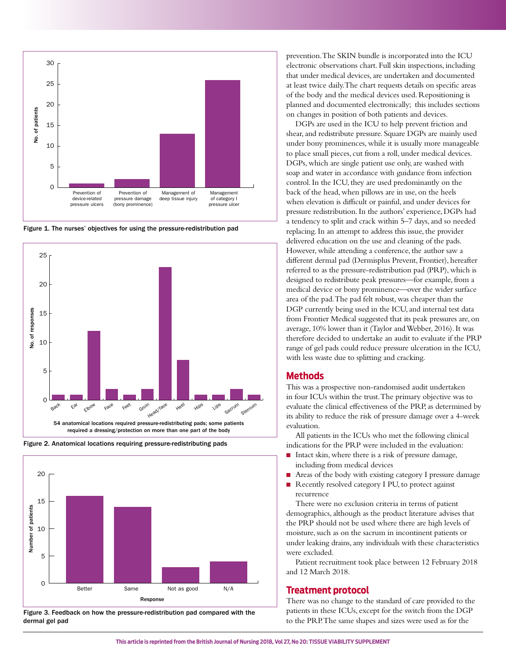









Figure 3. Feedback on how the pressure-redistribution pad compared with the

prevention. The SKIN bundle is incorporated into the ICU electronic observations chart. Full skin inspections, including that under medical devices, are undertaken and documented at least twice daily. The chart requests details on specific areas of the body and the medical devices used. Repositioning is planned and documented electronically; this includes sections on changes in position of both patients and devices.

DGPs are used in the ICU to help prevent friction and shear, and redistribute pressure. Square DGPs are mainly used under bony prominences, while it is usually more manageable to place small pieces, cut from a roll, under medical devices. DGPs, which are single patient use only, are washed with soap and water in accordance with guidance from infection control. In the ICU, they are used predominantly on the back of the head, when pillows are in use, on the heels when elevation is difficult or painful, and under devices for pressure redistribution. In the authors' experience, DGPs had a tendency to split and crack within 5–7 days, and so needed replacing. In an attempt to address this issue, the provider delivered education on the use and cleaning of the pads. However, while attending a conference, the author saw a different dermal pad (Dermisplus Prevent, Frontier), hereafter referred to as the pressure-redistribution pad (PRP), which is designed to redistribute peak pressures—for example, from a medical device or bony prominence—over the wider surface area of the pad.The pad felt robust, was cheaper than the DGP currently being used in the ICU, and internal test data from Frontier Medical suggested that its peak pressures are, on average, 10% lower than it (Taylor and Webber, 2016). It was therefore decided to undertake an audit to evaluate if the PRP range of gel pads could reduce pressure ulceration in the ICU, with less waste due to splitting and cracking.

#### **Methods**

This was a prospective non-randomised audit undertaken in four ICUs within the trust. The primary objective was to evaluate the clinical effectiveness of the PRP, as determined by its ability to reduce the risk of pressure damage over a 4-week evaluation.

All patients in the ICUs who met the following clinical indications for the PRP were included in the evaluation:

- Intact skin, where there is a risk of pressure damage, including from medical devices
- Areas of the body with existing category I pressure damage
- Recently resolved category I PU, to protect against recurrence

There were no exclusion criteria in terms of patient demographics, although as the product literature advises that the PRP should not be used where there are high levels of moisture, such as on the sacrum in incontinent patients or under leaking drains, any individuals with these characteristics were excluded.

Patient recruitment took place between 12 February 2018 and 12 March 2018.

### **Treatment protocol**

There was no change to the standard of care provided to the patients in these ICUs, except for the switch from the DGP to the PRP. The same shapes and sizes were used as for the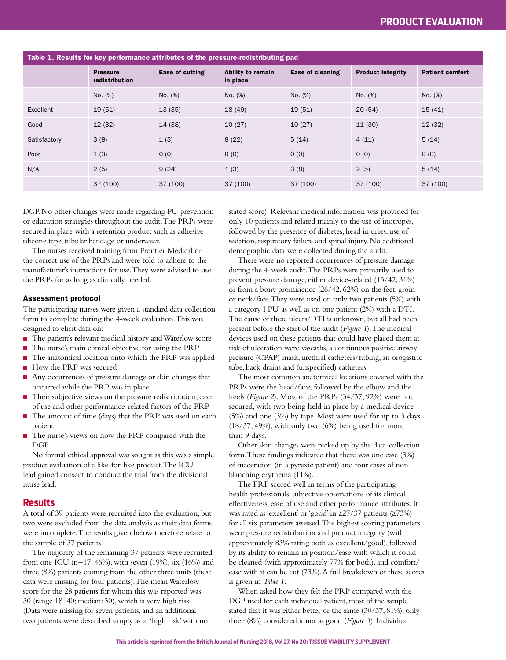| Table 1. Results for key performance attributes of the pressure-redistributing pad |                                   |                        |                                      |                  |                          |                        |
|------------------------------------------------------------------------------------|-----------------------------------|------------------------|--------------------------------------|------------------|--------------------------|------------------------|
|                                                                                    | <b>Pressure</b><br>redistribution | <b>Ease of cutting</b> | <b>Ability to remain</b><br>in place | Ease of cleaning | <b>Product integrity</b> | <b>Patient comfort</b> |
|                                                                                    | No. (%)                           | No. (%)                | No. (%)                              | No. (%)          | No. (%)                  | No. (%)                |
| Excellent                                                                          | 19(51)                            | 13(35)                 | 18 (49)                              | 19(51)           | 20(54)                   | 15(41)                 |
| Good                                                                               | 12 (32)                           | 14 (38)                | 10(27)                               | 10(27)           | 11 (30)                  | 12(32)                 |
| Satisfactory                                                                       | 3(8)                              | 1(3)                   | 8(22)                                | 5(14)            | 4(11)                    | 5(14)                  |
| Poor                                                                               | 1(3)                              | O(0)                   | 0(0)                                 | O(0)             | 0(0)                     | 0(0)                   |
| N/A                                                                                | 2(5)                              | 9(24)                  | 1(3)                                 | 3(8)             | 2(5)                     | 5(14)                  |
|                                                                                    | 37 (100)                          | 37 (100)               | 37 (100)                             | 37 (100)         | 37 (100)                 | 37 (100)               |

DGP. No other changes were made regarding PU prevention or education strategies throughout the audit. The PRPs were secured in place with a retention product such as adhesive silicone tape, tubular bandage or underwear.

The nurses received training from Frontier Medical on the correct use of the PRPs and were told to adhere to the manufacturer's instructions for use. They were advised to use the PRPs for as long as clinically needed.

#### Assessment protocol

The participating nurses were given a standard data collection form to complete during the 4-week evaluation. This was designed to elicit data on:

- The patient's relevant medical history and Waterlow score
- The nurse's main clinical objective for using the PRP
- The anatomical location onto which the PRP was applied
- How the PRP was secured
- Any occurrences of pressure damage or skin changes that occurred while the PRP was in place
- Their subjective views on the pressure redistribution, ease of use and other performance-related factors of the PRP
- The amount of time (days) that the PRP was used on each patient
- The nurse's views on how the PRP compared with the DG<sub>P</sub>

No formal ethical approval was sought as this was a simple product evaluation of a like-for-like product. The ICU lead gained consent to conduct the trial from the divisional nurse lead.

#### **Results**

A total of 39 patients were recruited into the evaluation, but two were excluded from the data analysis as their data forms were incomplete. The results given below therefore relate to the sample of 37 patients.

The majority of the remaining 37 patients were recruited from one ICU (n=17, 46%), with seven (19%), six (16%) and three (8%) patients coming from the other three units (these data were missing for four patients). The mean Waterlow score for the 28 patients for whom this was reported was 30 (range 18–40; median: 30), which is very high risk. (Data were missing for seven patients, and an additional two patients were described simply as at 'high risk' with no

stated score). Relevant medical information was provided for only 10 patients and related mainly to the use of inotropes, followed by the presence of diabetes, head injuries, use of sedation, respiratory failure and spinal injury. No additional demographic data were collected during the audit.

There were no reported occurrences of pressure damage during the 4-week audit. The PRPs were primarily used to prevent pressure damage, either device-related (13/42, 31%) or from a bony prominence (26/42, 62%) on the feet, groin or neck/face. They were used on only two patients (5%) with a category I PU, as well as on one patient (2%) with a DTI. The cause of these ulcers/DTI is unknown, but all had been present before the start of the audit (*Figure 1*). The medical devices used on these patients that could have placed them at risk of ulceration were vascaths, a continuous positive airway pressure (CPAP) mask, urethral catheters/tubing, an orogastric tube, back drains and (unspecified) catheters.

The most common anatomical locations covered with the PRPs were the head/face, followed by the elbow and the heels (*Figure 2*). Most of the PRPs (34/37, 92%) were not secured, with two being held in place by a medical device (5%) and one (3%) by tape. Most were used for up to 3 days (18/37, 49%), with only two (6%) being used for more than 9 days.

Other skin changes were picked up by the data-collection form. These findings indicated that there was one case (3%) of maceration (in a pyrexic patient) and four cases of nonblanching erythema (11%).

The PRP scored well in terms of the participating health professionals' subjective observations of its clinical effectiveness, ease of use and other performance attributes. It was rated as 'excellent' or 'good' in ≥27/37 patients (≥73%) for all six parameters assessed. The highest scoring parameters were pressure redistribution and product integrity (with approximately 83% rating both as excellent/good), followed by its ability to remain in position/ease with which it could be cleaned (with approximately 77% for both), and comfort/ ease with it can be cut (73%). A full breakdown of these scores is given in *Table 1*.

When asked how they felt the PRP compared with the DGP used for each individual patient, most of the sample stated that it was either better or the same (30/37, 81%); only three (8%) considered it not as good (*Figure 3*). Individual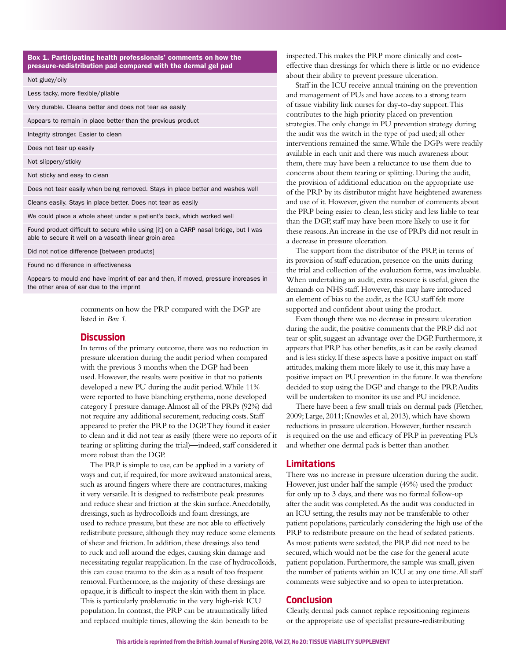Box 1. Participating health professionals' comments on how the pressure-redistribution pad compared with the dermal gel pad

Not gluey/oily

Less tacky, more flexible/pliable

Very durable. Cleans better and does not tear as easily

Appears to remain in place better than the previous product

Integrity stronger. Easier to clean

Does not tear up easily

Not slippery/sticky

Not sticky and easy to clean

Does not tear easily when being removed. Stays in place better and washes well

Cleans easily. Stays in place better. Does not tear as easily

We could place a whole sheet under a patient's back, which worked well

Found product difficult to secure while using [it] on a CARP nasal bridge, but I was able to secure it well on a vascath linear groin area

Did not notice difference [between products]

Found no difference in effectiveness

Appears to mould and have imprint of ear and then, if moved, pressure increases in the other area of ear due to the imprint

> comments on how the PRP compared with the DGP are listed in *Box 1*.

#### **Discussion**

In terms of the primary outcome, there was no reduction in pressure ulceration during the audit period when compared with the previous 3 months when the DGP had been used. However, the results were positive in that no patients developed a new PU during the audit period. While 11% were reported to have blanching erythema, none developed category I pressure damage. Almost all of the PRPs (92%) did not require any additional securement, reducing costs. Staff appeared to prefer the PRP to the DGP. They found it easier to clean and it did not tear as easily (there were no reports of it tearing or splitting during the trial)—indeed, staff considered it more robust than the DGP.

The PRP is simple to use, can be applied in a variety of ways and cut, if required, for more awkward anatomical areas, such as around fingers where there are contractures, making it very versatile. It is designed to redistribute peak pressures and reduce shear and friction at the skin surface. Anecdotally, dressings, such as hydrocolloids and foam dressings, are used to reduce pressure, but these are not able to effectively redistribute pressure, although they may reduce some elements of shear and friction. In addition, these dressings also tend to ruck and roll around the edges, causing skin damage and necessitating regular reapplication. In the case of hydrocolloids, this can cause trauma to the skin as a result of too frequent removal. Furthermore, as the majority of these dressings are opaque, it is difficult to inspect the skin with them in place. This is particularly problematic in the very high-risk ICU population. In contrast, the PRP can be atraumatically lifted and replaced multiple times, allowing the skin beneath to be

inspected. This makes the PRP more clinically and costeffective than dressings for which there is little or no evidence about their ability to prevent pressure ulceration.

Staff in the ICU receive annual training on the prevention and management of PUs and have access to a strong team of tissue viability link nurses for day-to-day support. This contributes to the high priority placed on prevention strategies. The only change in PU prevention strategy during the audit was the switch in the type of pad used; all other interventions remained the same. While the DGPs were readily available in each unit and there was much awareness about them, there may have been a reluctance to use them due to concerns about them tearing or splitting. During the audit, the provision of additional education on the appropriate use of the PRP by its distributor might have heightened awareness and use of it. However, given the number of comments about the PRP being easier to clean, less sticky and less liable to tear than the DGP, staff may have been more likely to use it for these reasons. An increase in the use of PRPs did not result in a decrease in pressure ulceration.

The support from the distributor of the PRP, in terms of its provision of staff education, presence on the units during the trial and collection of the evaluation forms, was invaluable. When undertaking an audit, extra resource is useful, given the demands on NHS staff. However, this may have introduced an element of bias to the audit, as the ICU staff felt more supported and confident about using the product.

Even though there was no decrease in pressure ulceration during the audit, the positive comments that the PRP did not tear or split, suggest an advantage over the DGP. Furthermore, it appears that PRP has other benefits, as it can be easily cleaned and is less sticky. If these aspects have a positive impact on staff attitudes, making them more likely to use it, this may have a positive impact on PU prevention in the future. It was therefore decided to stop using the DGP and change to the PRP. Audits will be undertaken to monitor its use and PU incidence.

There have been a few small trials on dermal pads (Fletcher, 2009; Large, 2011; Knowles et al, 2013), which have shown reductions in pressure ulceration. However, further research is required on the use and efficacy of PRP in preventing PUs and whether one dermal pads is better than another.

#### **Limitations**

There was no increase in pressure ulceration during the audit. However, just under half the sample (49%) used the product for only up to 3 days, and there was no formal follow-up after the audit was completed. As the audit was conducted in an ICU setting, the results may not be transferable to other patient populations, particularly considering the high use of the PRP to redistribute pressure on the head of sedated patients. As most patients were sedated, the PRP did not need to be secured, which would not be the case for the general acute patient population. Furthermore, the sample was small, given the number of patients within an ICU at any one time. All staff comments were subjective and so open to interpretation.

#### **Conclusion**

Clearly, dermal pads cannot replace repositioning regimens or the appropriate use of specialist pressure-redistributing